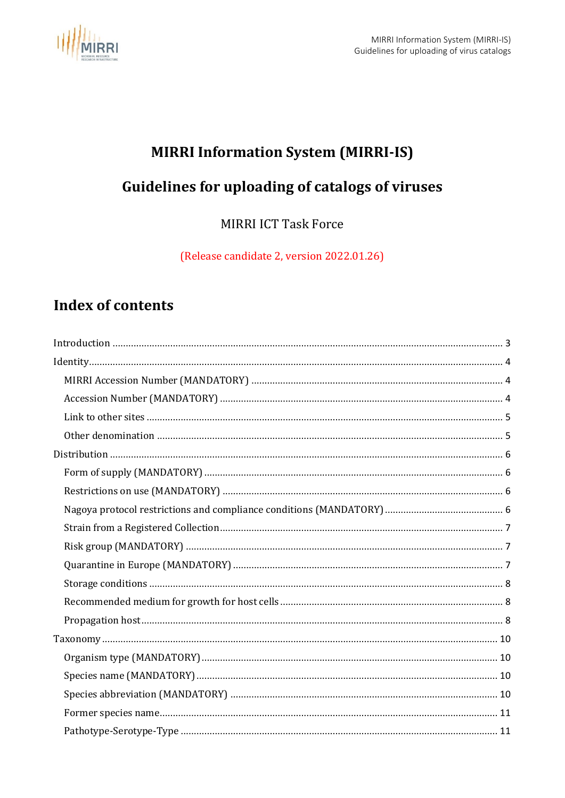

# **MIRRI Information System (MIRRI-IS)**

# Guidelines for uploading of catalogs of viruses

**MIRRI ICT Task Force** 

(Release candidate 2, version 2022.01.26)

# **Index of contents**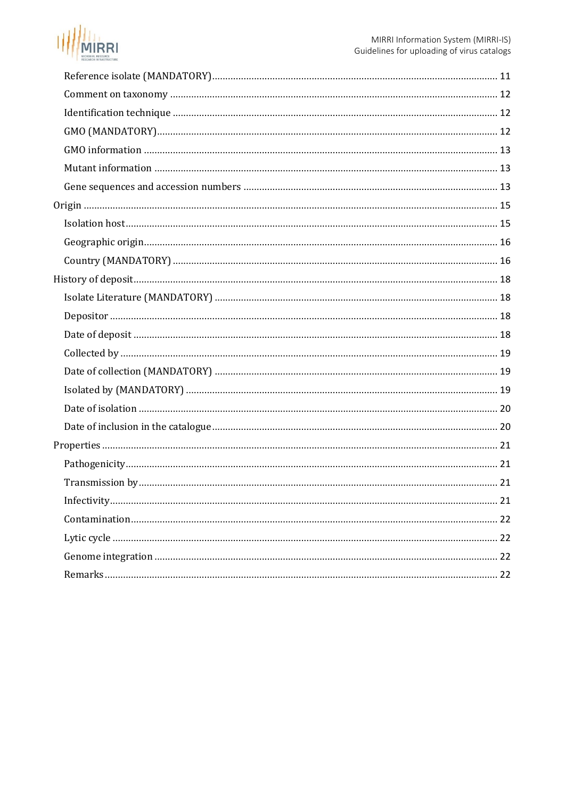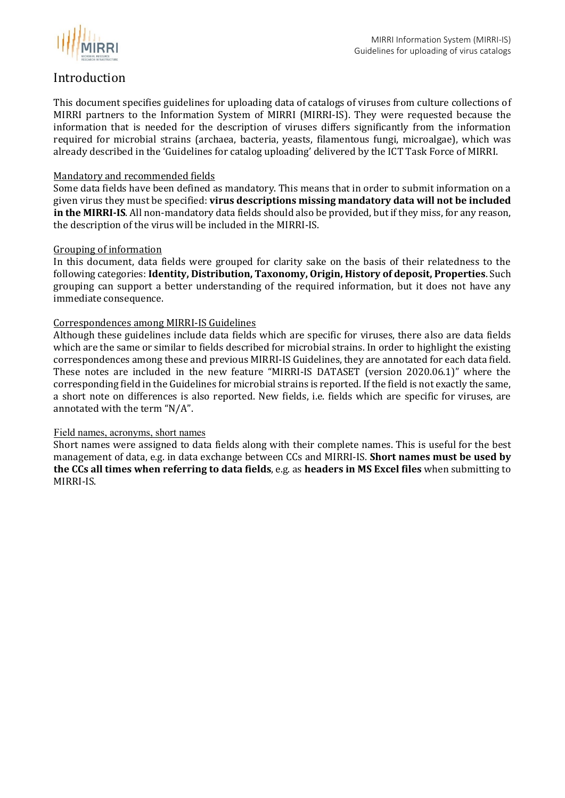

#### <span id="page-2-0"></span>Introduction

This document specifies guidelines for uploading data of catalogs of viruses from culture collections of MIRRI partners to the Information System of MIRRI (MIRRI-IS). They were requested because the information that is needed for the description of viruses differs significantly from the information required for microbial strains (archaea, bacteria, yeasts, filamentous fungi, microalgae), which was already described in the 'Guidelines for catalog uploading' delivered by the ICT Task Force of MIRRI.

#### Mandatory and recommended fields

Some data fields have been defined as mandatory. This means that in order to submit information on a given virus they must be specified: **virus descriptions missing mandatory data will not be included in the MIRRI-IS**. All non-mandatory data fields should also be provided, but if they miss, for any reason, the description of the virus will be included in the MIRRI-IS.

#### Grouping of information

In this document, data fields were grouped for clarity sake on the basis of their relatedness to the following categories: **Identity, Distribution, Taxonomy, Origin, History of deposit, Properties**. Such grouping can support a better understanding of the required information, but it does not have any immediate consequence.

#### Correspondences among MIRRI-IS Guidelines

Although these guidelines include data fields which are specific for viruses, there also are data fields which are the same or similar to fields described for microbial strains. In order to highlight the existing correspondences among these and previous MIRRI-IS Guidelines, they are annotated for each data field. These notes are included in the new feature "MIRRI-IS DATASET (version 2020.06.1)" where the corresponding field in the Guidelines for microbial strains is reported. If the field is not exactly the same, a short note on differences is also reported. New fields, i.e. fields which are specific for viruses, are annotated with the term "N/A".

#### Field names, acronyms, short names

Short names were assigned to data fields along with their complete names. This is useful for the best management of data, e.g. in data exchange between CCs and MIRRI-IS. **Short names must be used by the CCs all times when referring to data fields**, e.g. as **headers in MS Excel files** when submitting to MIRRI-IS.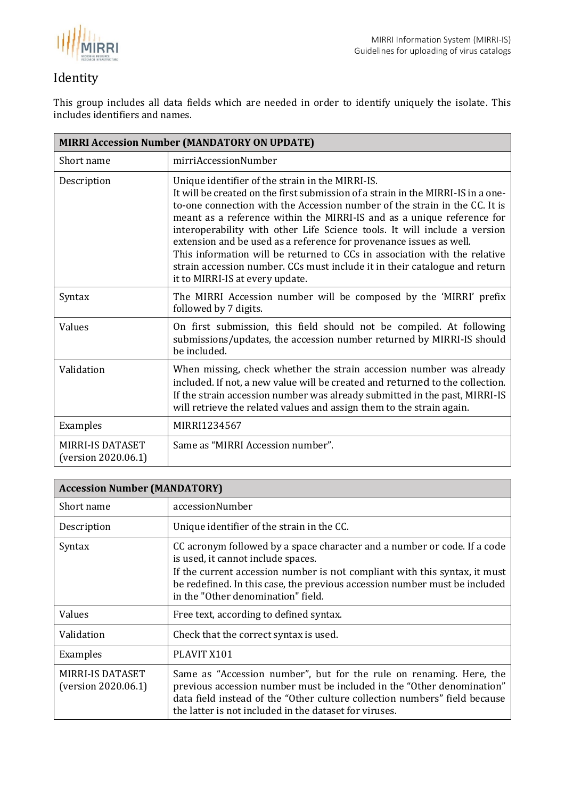

## <span id="page-3-0"></span>Identity

This group includes all data fields which are needed in order to identify uniquely the isolate. This includes identifiers and names.

<span id="page-3-1"></span>

| <b>MIRRI Accession Number (MANDATORY ON UPDATE)</b> |                                                                                                                                                                                                                                                                                                                                                                                                                                                                                                                                                                                                                                                |
|-----------------------------------------------------|------------------------------------------------------------------------------------------------------------------------------------------------------------------------------------------------------------------------------------------------------------------------------------------------------------------------------------------------------------------------------------------------------------------------------------------------------------------------------------------------------------------------------------------------------------------------------------------------------------------------------------------------|
| Short name                                          | mirriAccessionNumber                                                                                                                                                                                                                                                                                                                                                                                                                                                                                                                                                                                                                           |
| Description                                         | Unique identifier of the strain in the MIRRI-IS.<br>It will be created on the first submission of a strain in the MIRRI-IS in a one-<br>to-one connection with the Accession number of the strain in the CC. It is<br>meant as a reference within the MIRRI-IS and as a unique reference for<br>interoperability with other Life Science tools. It will include a version<br>extension and be used as a reference for provenance issues as well.<br>This information will be returned to CCs in association with the relative<br>strain accession number. CCs must include it in their catalogue and return<br>it to MIRRI-IS at every update. |
| Syntax                                              | The MIRRI Accession number will be composed by the 'MIRRI' prefix<br>followed by 7 digits.                                                                                                                                                                                                                                                                                                                                                                                                                                                                                                                                                     |
| Values                                              | On first submission, this field should not be compiled. At following<br>submissions/updates, the accession number returned by MIRRI-IS should<br>be included.                                                                                                                                                                                                                                                                                                                                                                                                                                                                                  |
| Validation                                          | When missing, check whether the strain accession number was already<br>included. If not, a new value will be created and returned to the collection.<br>If the strain accession number was already submitted in the past, MIRRI-IS<br>will retrieve the related values and assign them to the strain again.                                                                                                                                                                                                                                                                                                                                    |
| Examples                                            | MIRRI1234567                                                                                                                                                                                                                                                                                                                                                                                                                                                                                                                                                                                                                                   |
| <b>MIRRI-IS DATASET</b><br>(version 2020.06.1)      | Same as "MIRRI Accession number".                                                                                                                                                                                                                                                                                                                                                                                                                                                                                                                                                                                                              |

<span id="page-3-2"></span>

| <b>Accession Number (MANDATORY)</b>            |                                                                                                                                                                                                                                                                                                                  |
|------------------------------------------------|------------------------------------------------------------------------------------------------------------------------------------------------------------------------------------------------------------------------------------------------------------------------------------------------------------------|
| Short name                                     | accessionNumber                                                                                                                                                                                                                                                                                                  |
| Description                                    | Unique identifier of the strain in the CC.                                                                                                                                                                                                                                                                       |
| Syntax                                         | CC acronym followed by a space character and a number or code. If a code<br>is used, it cannot include spaces.<br>If the current accession number is not compliant with this syntax, it must<br>be redefined. In this case, the previous accession number must be included<br>in the "Other denomination" field. |
| Values                                         | Free text, according to defined syntax.                                                                                                                                                                                                                                                                          |
| Validation                                     | Check that the correct syntax is used.                                                                                                                                                                                                                                                                           |
| Examples                                       | PLAVIT X101                                                                                                                                                                                                                                                                                                      |
| <b>MIRRI-IS DATASET</b><br>(version 2020.06.1) | Same as "Accession number", but for the rule on renaming. Here, the<br>previous accession number must be included in the "Other denomination"<br>data field instead of the "Other culture collection numbers" field because<br>the latter is not included in the dataset for viruses.                            |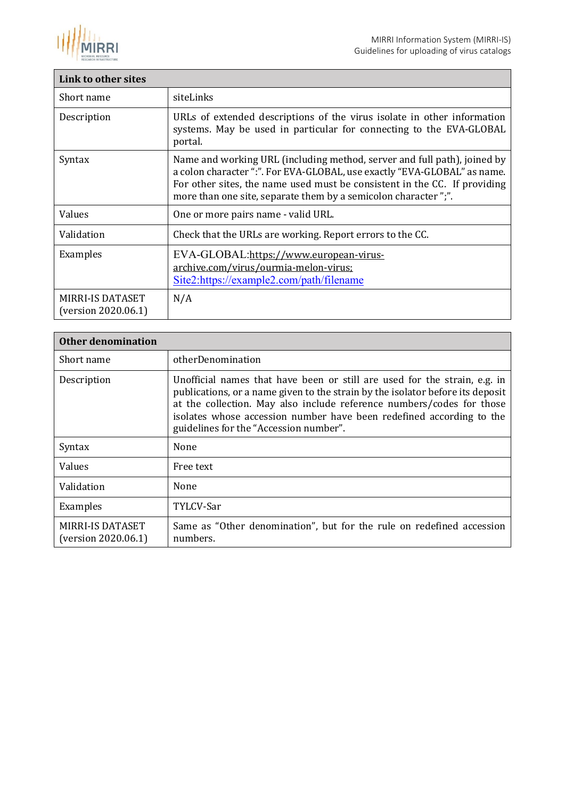

<span id="page-4-0"></span>

| Link to other sites                     |                                                                                                                                                                                                                                                                                                      |
|-----------------------------------------|------------------------------------------------------------------------------------------------------------------------------------------------------------------------------------------------------------------------------------------------------------------------------------------------------|
| Short name                              | siteLinks                                                                                                                                                                                                                                                                                            |
| Description                             | URLs of extended descriptions of the virus isolate in other information<br>systems. May be used in particular for connecting to the EVA-GLOBAL<br>portal.                                                                                                                                            |
| Syntax                                  | Name and working URL (including method, server and full path), joined by<br>a colon character ":". For EVA-GLOBAL, use exactly "EVA-GLOBAL" as name.<br>For other sites, the name used must be consistent in the CC. If providing<br>more than one site, separate them by a semicolon character ";". |
| Values                                  | One or more pairs name - valid URL.                                                                                                                                                                                                                                                                  |
| Validation                              | Check that the URLs are working. Report errors to the CC.                                                                                                                                                                                                                                            |
| Examples                                | EVA-GLOBAL:https://www.european-virus-<br>archive.com/virus/ourmia-melon-virus;<br>Site2:https://example2.com/path/filename                                                                                                                                                                          |
| MIRRI-IS DATASET<br>(version 2020.06.1) | N/A                                                                                                                                                                                                                                                                                                  |

<span id="page-4-1"></span>

| <b>Other denomination</b>               |                                                                                                                                                                                                                                                                                                                                                        |
|-----------------------------------------|--------------------------------------------------------------------------------------------------------------------------------------------------------------------------------------------------------------------------------------------------------------------------------------------------------------------------------------------------------|
| Short name                              | otherDenomination                                                                                                                                                                                                                                                                                                                                      |
| Description                             | Unofficial names that have been or still are used for the strain, e.g. in<br>publications, or a name given to the strain by the isolator before its deposit<br>at the collection. May also include reference numbers/codes for those<br>isolates whose accession number have been redefined according to the<br>guidelines for the "Accession number". |
| Syntax                                  | None                                                                                                                                                                                                                                                                                                                                                   |
| Values                                  | Free text                                                                                                                                                                                                                                                                                                                                              |
| Validation                              | None                                                                                                                                                                                                                                                                                                                                                   |
| Examples                                | TYLCV-Sar                                                                                                                                                                                                                                                                                                                                              |
| MIRRI-IS DATASET<br>(version 2020.06.1) | Same as "Other denomination", but for the rule on redefined accession<br>numbers.                                                                                                                                                                                                                                                                      |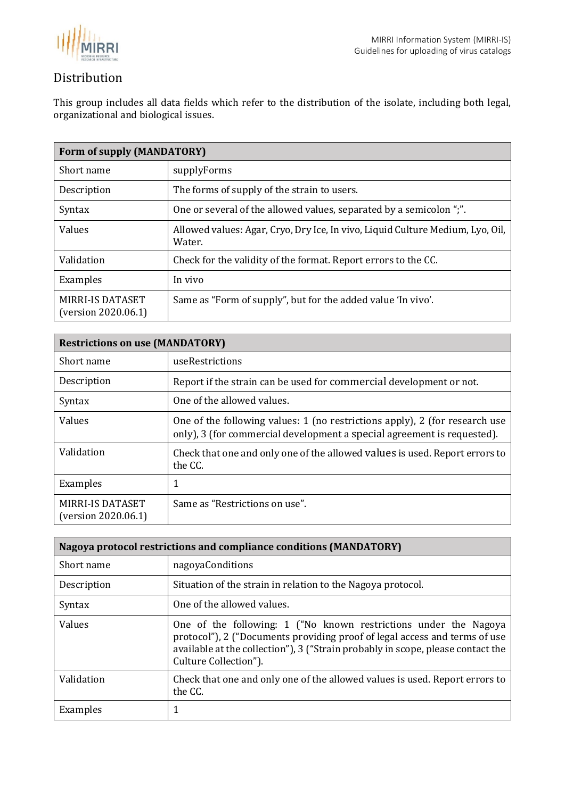

### <span id="page-5-0"></span>Distribution

This group includes all data fields which refer to the distribution of the isolate, including both legal, organizational and biological issues.

<span id="page-5-1"></span>

| Form of supply (MANDATORY)                     |                                                                                          |
|------------------------------------------------|------------------------------------------------------------------------------------------|
| Short name                                     | supplyForms                                                                              |
| Description                                    | The forms of supply of the strain to users.                                              |
| Syntax                                         | One or several of the allowed values, separated by a semicolon ";".                      |
| Values                                         | Allowed values: Agar, Cryo, Dry Ice, In vivo, Liquid Culture Medium, Lyo, Oil,<br>Water. |
| Validation                                     | Check for the validity of the format. Report errors to the CC.                           |
| Examples                                       | In vivo                                                                                  |
| <b>MIRRI-IS DATASET</b><br>(version 2020.06.1) | Same as "Form of supply", but for the added value 'In vivo'.                             |

<span id="page-5-2"></span>

| <b>Restrictions on use (MANDATORY)</b>  |                                                                                                                                                        |
|-----------------------------------------|--------------------------------------------------------------------------------------------------------------------------------------------------------|
| Short name                              | useRestrictions                                                                                                                                        |
| Description                             | Report if the strain can be used for commercial development or not.                                                                                    |
| Syntax                                  | One of the allowed values.                                                                                                                             |
| Values                                  | One of the following values: 1 (no restrictions apply), 2 (for research use<br>only), 3 (for commercial development a special agreement is requested). |
| Validation                              | Check that one and only one of the allowed values is used. Report errors to<br>the CC.                                                                 |
| Examples                                |                                                                                                                                                        |
| MIRRI-IS DATASET<br>(version 2020.06.1) | Same as "Restrictions on use".                                                                                                                         |

<span id="page-5-3"></span>

| Nagoya protocol restrictions and compliance conditions (MANDATORY) |                                                                                                                                                                                                                                                            |  |
|--------------------------------------------------------------------|------------------------------------------------------------------------------------------------------------------------------------------------------------------------------------------------------------------------------------------------------------|--|
| Short name                                                         | nagoyaConditions                                                                                                                                                                                                                                           |  |
| Description                                                        | Situation of the strain in relation to the Nagoya protocol.                                                                                                                                                                                                |  |
| Syntax                                                             | One of the allowed values.                                                                                                                                                                                                                                 |  |
| Values                                                             | One of the following: 1 ("No known restrictions under the Nagoya<br>protocol"), 2 ("Documents providing proof of legal access and terms of use<br>available at the collection"), 3 ("Strain probably in scope, please contact the<br>Culture Collection"). |  |
| Validation                                                         | Check that one and only one of the allowed values is used. Report errors to<br>the CC.                                                                                                                                                                     |  |
| Examples                                                           | 1                                                                                                                                                                                                                                                          |  |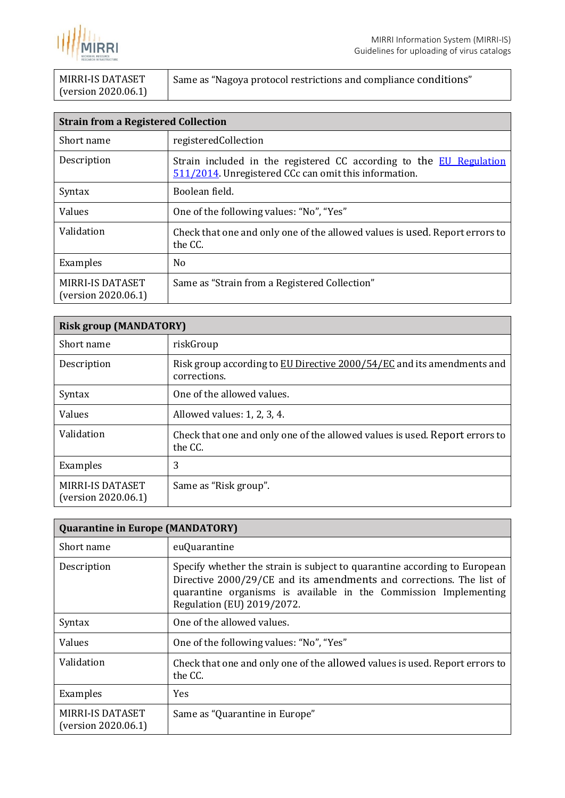

| MIRRI-IS DATASET    | Same as "Nagoya protocol restrictions and compliance conditions" |
|---------------------|------------------------------------------------------------------|
| (version 2020.06.1) |                                                                  |

<span id="page-6-0"></span>

| <b>Strain from a Registered Collection</b>     |                                                                                                                              |
|------------------------------------------------|------------------------------------------------------------------------------------------------------------------------------|
| Short name                                     | registeredCollection                                                                                                         |
| Description                                    | Strain included in the registered CC according to the EU Regulation<br>511/2014. Unregistered CCc can omit this information. |
| Syntax                                         | Boolean field.                                                                                                               |
| Values                                         | One of the following values: "No", "Yes"                                                                                     |
| Validation                                     | Check that one and only one of the allowed values is used. Report errors to<br>the CC.                                       |
| Examples                                       | N <sub>0</sub>                                                                                                               |
| <b>MIRRI-IS DATASET</b><br>(version 2020.06.1) | Same as "Strain from a Registered Collection"                                                                                |

<span id="page-6-1"></span>

| <b>Risk group (MANDATORY)</b>                  |                                                                                        |
|------------------------------------------------|----------------------------------------------------------------------------------------|
| Short name                                     | riskGroup                                                                              |
| Description                                    | Risk group according to EU Directive 2000/54/EC and its amendments and<br>corrections. |
| Syntax                                         | One of the allowed values.                                                             |
| Values                                         | Allowed values: 1, 2, 3, 4.                                                            |
| Validation                                     | Check that one and only one of the allowed values is used. Report errors to<br>the CC. |
| Examples                                       | 3                                                                                      |
| <b>MIRRI-IS DATASET</b><br>(version 2020.06.1) | Same as "Risk group".                                                                  |

<span id="page-6-2"></span>

| <b>Quarantine in Europe (MANDATORY)</b> |                                                                                                                                                                                                                                                     |
|-----------------------------------------|-----------------------------------------------------------------------------------------------------------------------------------------------------------------------------------------------------------------------------------------------------|
| Short name                              | euQuarantine                                                                                                                                                                                                                                        |
| Description                             | Specify whether the strain is subject to quarantine according to European<br>Directive 2000/29/CE and its amendments and corrections. The list of<br>quarantine organisms is available in the Commission Implementing<br>Regulation (EU) 2019/2072. |
| Syntax                                  | One of the allowed values.                                                                                                                                                                                                                          |
| Values                                  | One of the following values: "No", "Yes"                                                                                                                                                                                                            |
| Validation                              | Check that one and only one of the allowed values is used. Report errors to<br>the CC.                                                                                                                                                              |
| Examples                                | <b>Yes</b>                                                                                                                                                                                                                                          |
| MIRRI-IS DATASET<br>(version 2020.06.1) | Same as "Quarantine in Europe"                                                                                                                                                                                                                      |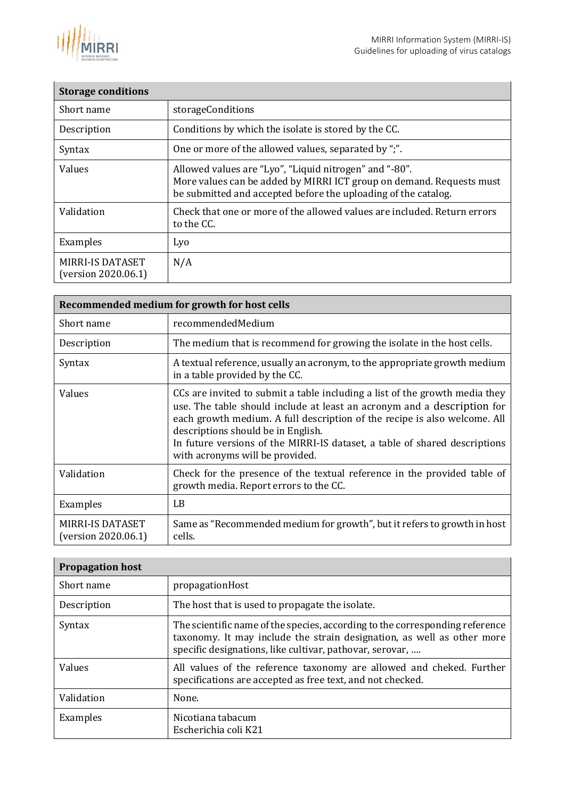

<span id="page-7-0"></span>

| <b>Storage conditions</b>                      |                                                                                                                                                                                                  |
|------------------------------------------------|--------------------------------------------------------------------------------------------------------------------------------------------------------------------------------------------------|
| Short name                                     | storageConditions                                                                                                                                                                                |
| Description                                    | Conditions by which the isolate is stored by the CC.                                                                                                                                             |
| Syntax                                         | One or more of the allowed values, separated by ";".                                                                                                                                             |
| Values                                         | Allowed values are "Lyo", "Liquid nitrogen" and "-80".<br>More values can be added by MIRRI ICT group on demand. Requests must<br>be submitted and accepted before the uploading of the catalog. |
| Validation                                     | Check that one or more of the allowed values are included. Return errors<br>to the CC.                                                                                                           |
| Examples                                       | Lyo                                                                                                                                                                                              |
| <b>MIRRI-IS DATASET</b><br>(version 2020.06.1) | N/A                                                                                                                                                                                              |

<span id="page-7-1"></span>

| Recommended medium for growth for host cells   |                                                                                                                                                                                                                                                                                                                                                                                            |
|------------------------------------------------|--------------------------------------------------------------------------------------------------------------------------------------------------------------------------------------------------------------------------------------------------------------------------------------------------------------------------------------------------------------------------------------------|
| Short name                                     | recommendedMedium                                                                                                                                                                                                                                                                                                                                                                          |
| Description                                    | The medium that is recommend for growing the isolate in the host cells.                                                                                                                                                                                                                                                                                                                    |
| Syntax                                         | A textual reference, usually an acronym, to the appropriate growth medium<br>in a table provided by the CC.                                                                                                                                                                                                                                                                                |
| Values                                         | CCs are invited to submit a table including a list of the growth media they<br>use. The table should include at least an acronym and a description for<br>each growth medium. A full description of the recipe is also welcome. All<br>descriptions should be in English.<br>In future versions of the MIRRI-IS dataset, a table of shared descriptions<br>with acronyms will be provided. |
| Validation                                     | Check for the presence of the textual reference in the provided table of<br>growth media. Report errors to the CC.                                                                                                                                                                                                                                                                         |
| Examples                                       | LB                                                                                                                                                                                                                                                                                                                                                                                         |
| <b>MIRRI-IS DATASET</b><br>(version 2020.06.1) | Same as "Recommended medium for growth", but it refers to growth in host<br>cells.                                                                                                                                                                                                                                                                                                         |

<span id="page-7-2"></span>

| <b>Propagation host</b> |                                                                                                                                                                                                                    |
|-------------------------|--------------------------------------------------------------------------------------------------------------------------------------------------------------------------------------------------------------------|
| Short name              | propagationHost                                                                                                                                                                                                    |
| Description             | The host that is used to propagate the isolate.                                                                                                                                                                    |
| Syntax                  | The scientific name of the species, according to the corresponding reference<br>taxonomy. It may include the strain designation, as well as other more<br>specific designations, like cultivar, pathovar, serovar, |
| Values                  | All values of the reference taxonomy are allowed and cheked. Further<br>specifications are accepted as free text, and not checked.                                                                                 |
| Validation              | None.                                                                                                                                                                                                              |
| Examples                | Nicotiana tabacum<br>Escherichia coli K21                                                                                                                                                                          |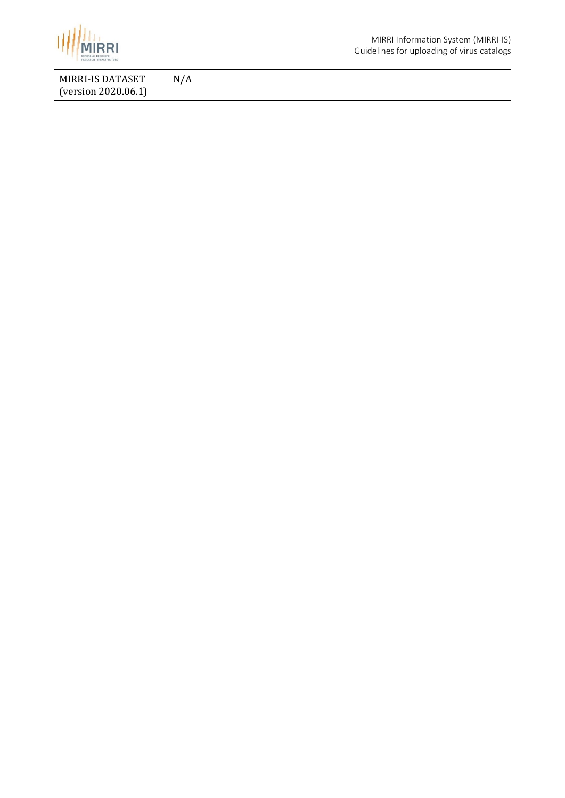

| MIRRI-IS DATASET    | N/A |
|---------------------|-----|
| (version 2020.06.1) |     |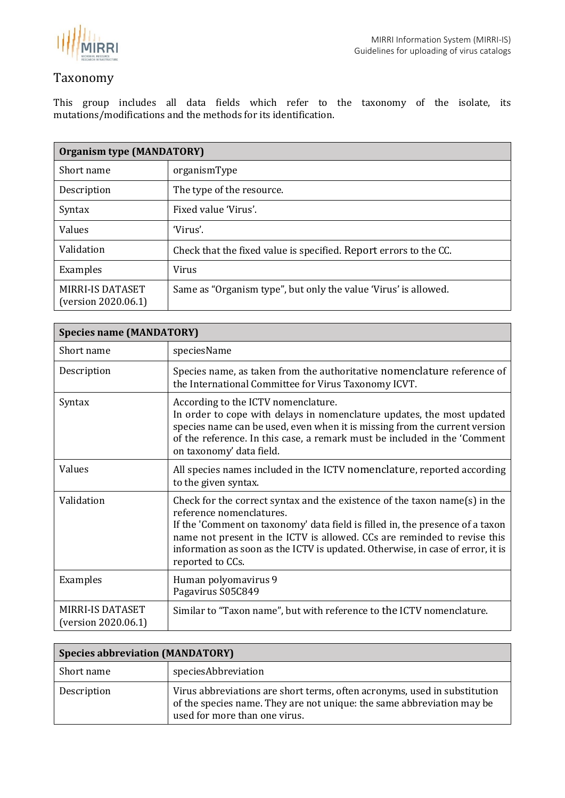

### <span id="page-9-0"></span>Taxonomy

This group includes all data fields which refer to the taxonomy of the isolate, its mutations/modifications and the methods for its identification.

<span id="page-9-1"></span>

| <b>Organism type (MANDATORY)</b>               |                                                                   |
|------------------------------------------------|-------------------------------------------------------------------|
| Short name                                     | organismType                                                      |
| Description                                    | The type of the resource.                                         |
| Syntax                                         | Fixed value 'Virus'.                                              |
| Values                                         | 'Virus'.                                                          |
| Validation                                     | Check that the fixed value is specified. Report errors to the CC. |
| Examples                                       | Virus                                                             |
| <b>MIRRI-IS DATASET</b><br>(version 2020.06.1) | Same as "Organism type", but only the value 'Virus' is allowed.   |

<span id="page-9-2"></span>

| <b>Species name (MANDATORY)</b>         |                                                                                                                                                                                                                                                                                                                                                                           |
|-----------------------------------------|---------------------------------------------------------------------------------------------------------------------------------------------------------------------------------------------------------------------------------------------------------------------------------------------------------------------------------------------------------------------------|
| Short name                              | speciesName                                                                                                                                                                                                                                                                                                                                                               |
| Description                             | Species name, as taken from the authoritative nomenclature reference of<br>the International Committee for Virus Taxonomy ICVT.                                                                                                                                                                                                                                           |
| Syntax                                  | According to the ICTV nomenclature.<br>In order to cope with delays in nomenclature updates, the most updated<br>species name can be used, even when it is missing from the current version<br>of the reference. In this case, a remark must be included in the 'Comment<br>on taxonomy' data field.                                                                      |
| Values                                  | All species names included in the ICTV nomenclature, reported according<br>to the given syntax.                                                                                                                                                                                                                                                                           |
| Validation                              | Check for the correct syntax and the existence of the taxon name(s) in the<br>reference nomenclatures.<br>If the 'Comment on taxonomy' data field is filled in, the presence of a taxon<br>name not present in the ICTV is allowed. CCs are reminded to revise this<br>information as soon as the ICTV is updated. Otherwise, in case of error, it is<br>reported to CCs. |
| Examples                                | Human polyomavirus 9<br>Pagavirus S05C849                                                                                                                                                                                                                                                                                                                                 |
| MIRRI-IS DATASET<br>(version 2020.06.1) | Similar to "Taxon name", but with reference to the ICTV nomenclature.                                                                                                                                                                                                                                                                                                     |

<span id="page-9-3"></span>

| <b>Species abbreviation (MANDATORY)</b> |                                                                                                                                                                                      |
|-----------------------------------------|--------------------------------------------------------------------------------------------------------------------------------------------------------------------------------------|
| Short name                              | speciesAbbreviation                                                                                                                                                                  |
| Description                             | Virus abbreviations are short terms, often acronyms, used in substitution<br>of the species name. They are not unique: the same abbreviation may be<br>used for more than one virus. |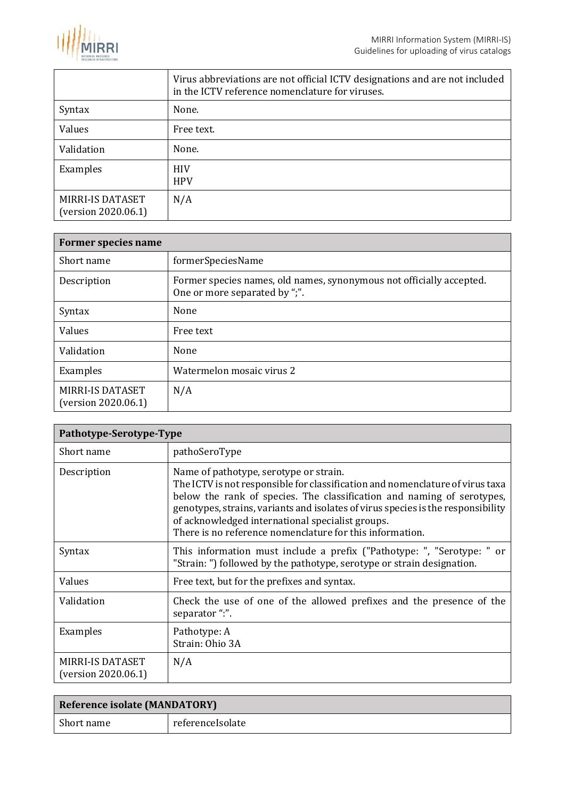

|                                         | Virus abbreviations are not official ICTV designations and are not included<br>in the ICTV reference nomenclature for viruses. |
|-----------------------------------------|--------------------------------------------------------------------------------------------------------------------------------|
| Syntax                                  | None.                                                                                                                          |
| Values                                  | Free text.                                                                                                                     |
| Validation                              | None.                                                                                                                          |
| Examples                                | <b>HIV</b><br><b>HPV</b>                                                                                                       |
| MIRRI-IS DATASET<br>(version 2020.06.1) | N/A                                                                                                                            |

<span id="page-10-0"></span>

| <b>Former species name</b>                     |                                                                                                       |
|------------------------------------------------|-------------------------------------------------------------------------------------------------------|
| Short name                                     | formerSpeciesName                                                                                     |
| Description                                    | Former species names, old names, synonymous not officially accepted.<br>One or more separated by ";". |
| Syntax                                         | None                                                                                                  |
| Values                                         | Free text                                                                                             |
| Validation                                     | None                                                                                                  |
| Examples                                       | Watermelon mosaic virus 2                                                                             |
| <b>MIRRI-IS DATASET</b><br>(version 2020.06.1) | N/A                                                                                                   |

<span id="page-10-1"></span>

| Pathotype-Serotype-Type                        |                                                                                                                                                                                                                                                                                                                                                                                                       |
|------------------------------------------------|-------------------------------------------------------------------------------------------------------------------------------------------------------------------------------------------------------------------------------------------------------------------------------------------------------------------------------------------------------------------------------------------------------|
| Short name                                     | pathoSeroType                                                                                                                                                                                                                                                                                                                                                                                         |
| Description                                    | Name of pathotype, serotype or strain.<br>The ICTV is not responsible for classification and nomenclature of virus taxa<br>below the rank of species. The classification and naming of serotypes,<br>genotypes, strains, variants and isolates of virus species is the responsibility<br>of acknowledged international specialist groups.<br>There is no reference nomenclature for this information. |
| Syntax                                         | This information must include a prefix ("Pathotype: ", "Serotype: " or<br>"Strain: ") followed by the pathotype, serotype or strain designation.                                                                                                                                                                                                                                                      |
| Values                                         | Free text, but for the prefixes and syntax.                                                                                                                                                                                                                                                                                                                                                           |
| Validation                                     | Check the use of one of the allowed prefixes and the presence of the<br>separator ":".                                                                                                                                                                                                                                                                                                                |
| Examples                                       | Pathotype: A<br>Strain: Ohio 3A                                                                                                                                                                                                                                                                                                                                                                       |
| <b>MIRRI-IS DATASET</b><br>(version 2020.06.1) | N/A                                                                                                                                                                                                                                                                                                                                                                                                   |

<span id="page-10-2"></span>

| <b>Reference isolate (MANDATORY)</b> |                  |
|--------------------------------------|------------------|
| Short name                           | referenceIsolate |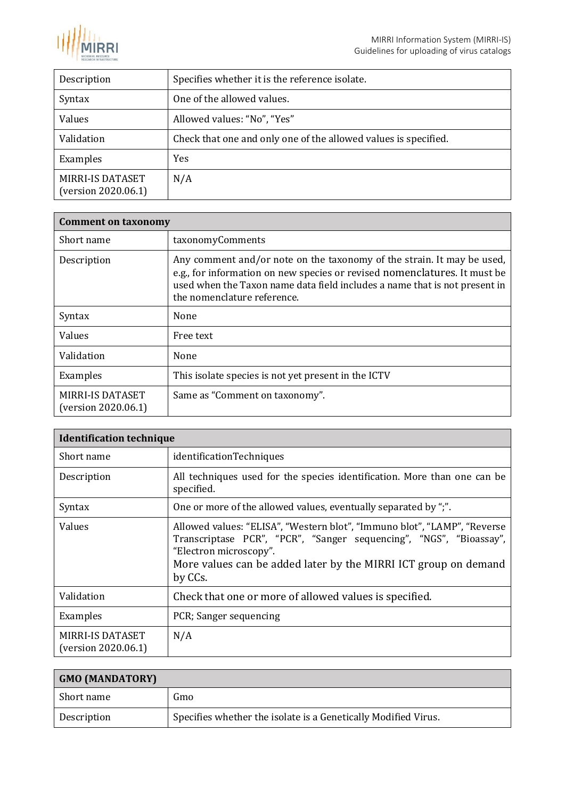

| Description                                    | Specifies whether it is the reference isolate.                  |
|------------------------------------------------|-----------------------------------------------------------------|
| Syntax                                         | One of the allowed values.                                      |
| Values                                         | Allowed values: "No", "Yes"                                     |
| Validation                                     | Check that one and only one of the allowed values is specified. |
| Examples                                       | Yes                                                             |
| <b>MIRRI-IS DATASET</b><br>(version 2020.06.1) | N/A                                                             |

<span id="page-11-0"></span>

| <b>Comment on taxonomy</b>              |                                                                                                                                                                                                                                                                  |
|-----------------------------------------|------------------------------------------------------------------------------------------------------------------------------------------------------------------------------------------------------------------------------------------------------------------|
| Short name                              | taxonomyComments                                                                                                                                                                                                                                                 |
| Description                             | Any comment and/or note on the taxonomy of the strain. It may be used,<br>e.g., for information on new species or revised nomenclatures. It must be<br>used when the Taxon name data field includes a name that is not present in<br>the nomenclature reference. |
| Syntax                                  | None                                                                                                                                                                                                                                                             |
| Values                                  | Free text                                                                                                                                                                                                                                                        |
| Validation                              | None                                                                                                                                                                                                                                                             |
| Examples                                | This isolate species is not yet present in the ICTV                                                                                                                                                                                                              |
| MIRRI-IS DATASET<br>(version 2020.06.1) | Same as "Comment on taxonomy".                                                                                                                                                                                                                                   |

<span id="page-11-1"></span>

| <b>Identification technique</b>                |                                                                                                                                                                                                                                                        |
|------------------------------------------------|--------------------------------------------------------------------------------------------------------------------------------------------------------------------------------------------------------------------------------------------------------|
| Short name                                     | identificationTechniques                                                                                                                                                                                                                               |
| Description                                    | All techniques used for the species identification. More than one can be<br>specified.                                                                                                                                                                 |
| Syntax                                         | One or more of the allowed values, eventually separated by ";".                                                                                                                                                                                        |
| Values                                         | Allowed values: "ELISA", "Western blot", "Immuno blot", "LAMP", "Reverse<br>Transcriptase PCR", "PCR", "Sanger sequencing", "NGS", "Bioassay",<br>"Electron microscopy".<br>More values can be added later by the MIRRI ICT group on demand<br>by CCs. |
| Validation                                     | Check that one or more of allowed values is specified.                                                                                                                                                                                                 |
| Examples                                       | PCR; Sanger sequencing                                                                                                                                                                                                                                 |
| <b>MIRRI-IS DATASET</b><br>(version 2020.06.1) | N/A                                                                                                                                                                                                                                                    |

<span id="page-11-2"></span>

| <b>GMO (MANDATORY)</b> |                                                                |
|------------------------|----------------------------------------------------------------|
| Short name             | Gmo                                                            |
| Description            | Specifies whether the isolate is a Genetically Modified Virus. |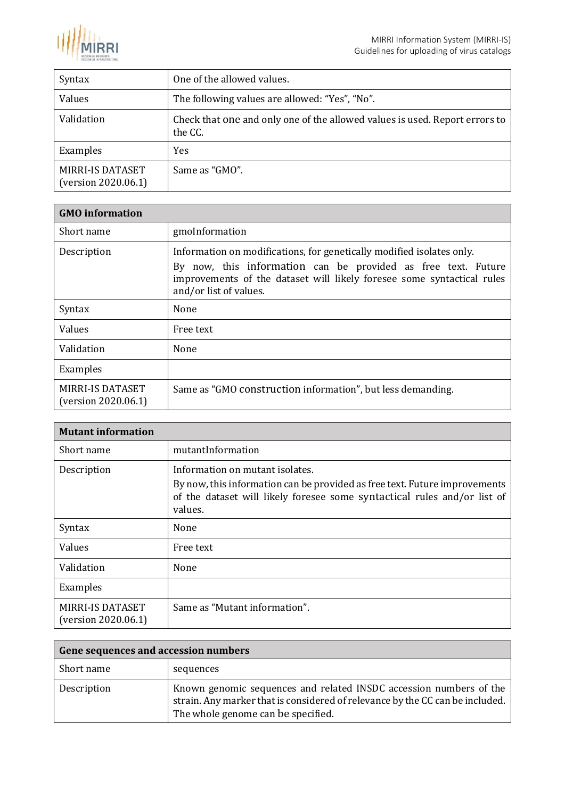

| Syntax                                         | One of the allowed values.                                                             |
|------------------------------------------------|----------------------------------------------------------------------------------------|
| Values                                         | The following values are allowed: "Yes", "No".                                         |
| Validation                                     | Check that one and only one of the allowed values is used. Report errors to<br>the CC. |
| Examples                                       | Yes                                                                                    |
| <b>MIRRI-IS DATASET</b><br>(version 2020.06.1) | Same as "GMO".                                                                         |

<span id="page-12-0"></span>

| <b>GMO</b> information                  |                                                                                                                                                                                                                                            |
|-----------------------------------------|--------------------------------------------------------------------------------------------------------------------------------------------------------------------------------------------------------------------------------------------|
| Short name                              | gmoInformation                                                                                                                                                                                                                             |
| Description                             | Information on modifications, for genetically modified isolates only.<br>By now, this information can be provided as free text. Future<br>improvements of the dataset will likely foresee some syntactical rules<br>and/or list of values. |
| Syntax                                  | None                                                                                                                                                                                                                                       |
| Values                                  | Free text                                                                                                                                                                                                                                  |
| Validation                              | None                                                                                                                                                                                                                                       |
| Examples                                |                                                                                                                                                                                                                                            |
| MIRRI-IS DATASET<br>(version 2020.06.1) | Same as "GMO construction information", but less demanding.                                                                                                                                                                                |

<span id="page-12-1"></span>

| <b>Mutant information</b>                      |                                                                                                                                                                                                      |
|------------------------------------------------|------------------------------------------------------------------------------------------------------------------------------------------------------------------------------------------------------|
| Short name                                     | mutantInformation                                                                                                                                                                                    |
| Description                                    | Information on mutant isolates.<br>By now, this information can be provided as free text. Future improvements<br>of the dataset will likely foresee some syntactical rules and/or list of<br>values. |
| Syntax                                         | None                                                                                                                                                                                                 |
| Values                                         | Free text                                                                                                                                                                                            |
| Validation                                     | None                                                                                                                                                                                                 |
| Examples                                       |                                                                                                                                                                                                      |
| <b>MIRRI-IS DATASET</b><br>(version 2020.06.1) | Same as "Mutant information".                                                                                                                                                                        |

<span id="page-12-2"></span>

| Gene sequences and accession numbers |                                                                                                                                                                                           |
|--------------------------------------|-------------------------------------------------------------------------------------------------------------------------------------------------------------------------------------------|
| Short name                           | sequences                                                                                                                                                                                 |
| Description                          | Known genomic sequences and related INSDC accession numbers of the<br>strain. Any marker that is considered of relevance by the CC can be included.<br>The whole genome can be specified. |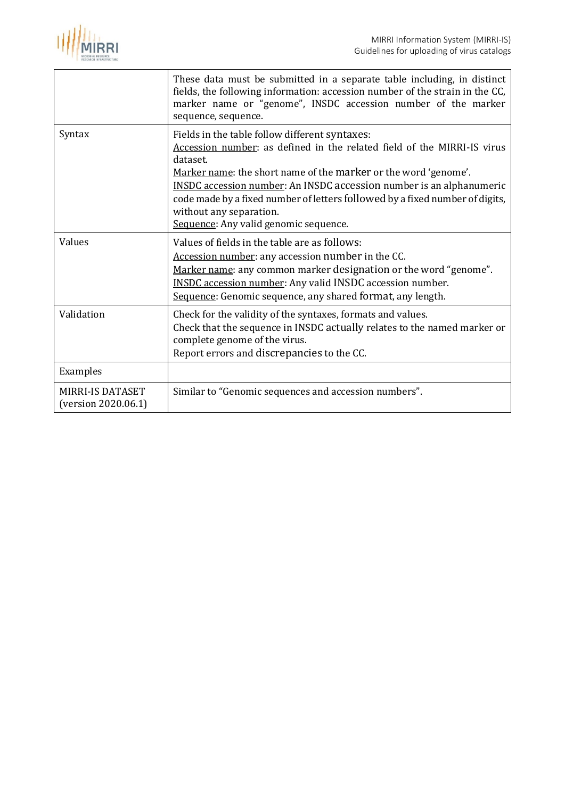

|                                                | These data must be submitted in a separate table including, in distinct<br>fields, the following information: accession number of the strain in the CC,<br>marker name or "genome", INSDC accession number of the marker<br>sequence, sequence.                                                                                                                                                                                             |
|------------------------------------------------|---------------------------------------------------------------------------------------------------------------------------------------------------------------------------------------------------------------------------------------------------------------------------------------------------------------------------------------------------------------------------------------------------------------------------------------------|
| Syntax                                         | Fields in the table follow different syntaxes:<br>Accession number: as defined in the related field of the MIRRI-IS virus<br>dataset.<br>Marker name: the short name of the marker or the word 'genome'.<br><b>INSDC</b> accession number: An INSDC accession number is an alphanumeric<br>code made by a fixed number of letters followed by a fixed number of digits,<br>without any separation.<br>Sequence: Any valid genomic sequence. |
| Values                                         | Values of fields in the table are as follows:<br>Accession number: any accession number in the CC.<br>Marker name: any common marker designation or the word "genome".<br><b>INSDC</b> accession number: Any valid INSDC accession number.<br>Sequence: Genomic sequence, any shared format, any length.                                                                                                                                    |
| Validation                                     | Check for the validity of the syntaxes, formats and values.<br>Check that the sequence in INSDC actually relates to the named marker or<br>complete genome of the virus.<br>Report errors and discrepancies to the CC.                                                                                                                                                                                                                      |
| Examples                                       |                                                                                                                                                                                                                                                                                                                                                                                                                                             |
| <b>MIRRI-IS DATASET</b><br>(version 2020.06.1) | Similar to "Genomic sequences and accession numbers".                                                                                                                                                                                                                                                                                                                                                                                       |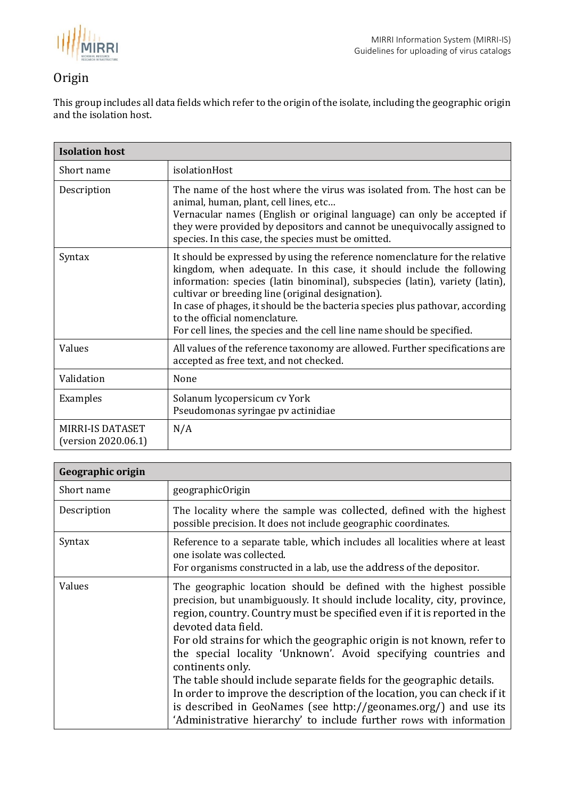

### <span id="page-14-0"></span>Origin

This group includes all data fields which refer to the origin of the isolate, including the geographic origin and the isolation host.

<span id="page-14-1"></span>

| <b>Isolation host</b>                   |                                                                                                                                                                                                                                                                                                                                                                                                                                                                                        |
|-----------------------------------------|----------------------------------------------------------------------------------------------------------------------------------------------------------------------------------------------------------------------------------------------------------------------------------------------------------------------------------------------------------------------------------------------------------------------------------------------------------------------------------------|
| Short name                              | isolationHost                                                                                                                                                                                                                                                                                                                                                                                                                                                                          |
| Description                             | The name of the host where the virus was isolated from. The host can be<br>animal, human, plant, cell lines, etc<br>Vernacular names (English or original language) can only be accepted if<br>they were provided by depositors and cannot be unequivocally assigned to<br>species. In this case, the species must be omitted.                                                                                                                                                         |
| Syntax                                  | It should be expressed by using the reference nomenclature for the relative<br>kingdom, when adequate. In this case, it should include the following<br>information: species (latin binominal), subspecies (latin), variety (latin),<br>cultivar or breeding line (original designation).<br>In case of phages, it should be the bacteria species plus pathovar, according<br>to the official nomenclature.<br>For cell lines, the species and the cell line name should be specified. |
| Values                                  | All values of the reference taxonomy are allowed. Further specifications are<br>accepted as free text, and not checked.                                                                                                                                                                                                                                                                                                                                                                |
| Validation                              | None                                                                                                                                                                                                                                                                                                                                                                                                                                                                                   |
| Examples                                | Solanum lycopersicum cv York<br>Pseudomonas syringae pv actinidiae                                                                                                                                                                                                                                                                                                                                                                                                                     |
| MIRRI-IS DATASET<br>(version 2020.06.1) | N/A                                                                                                                                                                                                                                                                                                                                                                                                                                                                                    |

| Geographic origin |                                                                                                                                                                                                                                                                                                                                                                                                                                                                                                                                                                                                                                                                                                                   |
|-------------------|-------------------------------------------------------------------------------------------------------------------------------------------------------------------------------------------------------------------------------------------------------------------------------------------------------------------------------------------------------------------------------------------------------------------------------------------------------------------------------------------------------------------------------------------------------------------------------------------------------------------------------------------------------------------------------------------------------------------|
| Short name        | geographicOrigin                                                                                                                                                                                                                                                                                                                                                                                                                                                                                                                                                                                                                                                                                                  |
| Description       | The locality where the sample was collected, defined with the highest<br>possible precision. It does not include geographic coordinates.                                                                                                                                                                                                                                                                                                                                                                                                                                                                                                                                                                          |
| Syntax            | Reference to a separate table, which includes all localities where at least<br>one isolate was collected.<br>For organisms constructed in a lab, use the address of the depositor.                                                                                                                                                                                                                                                                                                                                                                                                                                                                                                                                |
| Values            | The geographic location should be defined with the highest possible<br>precision, but unambiguously. It should include locality, city, province,<br>region, country. Country must be specified even if it is reported in the<br>devoted data field.<br>For old strains for which the geographic origin is not known, refer to<br>the special locality 'Unknown'. Avoid specifying countries and<br>continents only.<br>The table should include separate fields for the geographic details.<br>In order to improve the description of the location, you can check if it<br>is described in GeoNames (see http://geonames.org/) and use its<br>'Administrative hierarchy' to include further rows with information |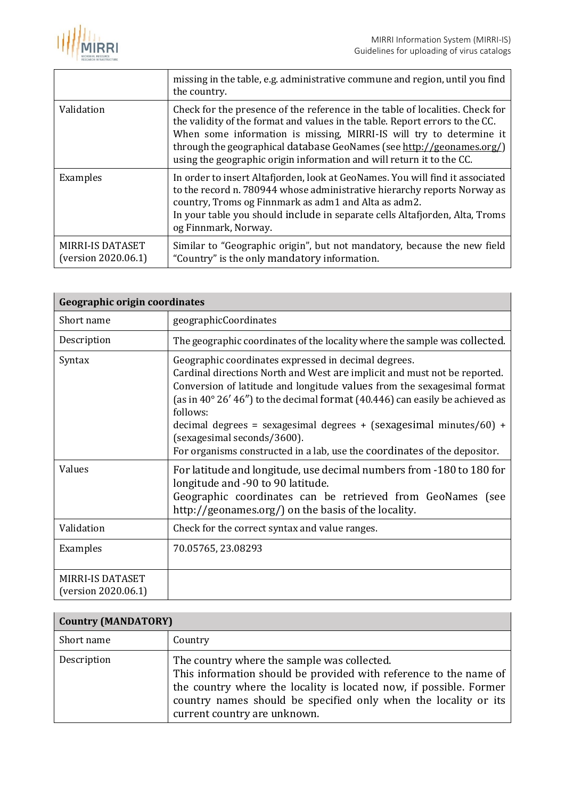

|                                         | missing in the table, e.g. administrative commune and region, until you find<br>the country.                                                                                                                                                                                                                                                                                           |
|-----------------------------------------|----------------------------------------------------------------------------------------------------------------------------------------------------------------------------------------------------------------------------------------------------------------------------------------------------------------------------------------------------------------------------------------|
| Validation                              | Check for the presence of the reference in the table of localities. Check for<br>the validity of the format and values in the table. Report errors to the CC.<br>When some information is missing, MIRRI-IS will try to determine it<br>through the geographical database GeoNames (see http://geonames.org/)<br>using the geographic origin information and will return it to the CC. |
| Examples                                | In order to insert Altafjorden, look at GeoNames. You will find it associated<br>to the record n. 780944 whose administrative hierarchy reports Norway as<br>country, Troms og Finnmark as adm1 and Alta as adm2.<br>In your table you should include in separate cells Altafjorden, Alta, Troms<br>og Finnmark, Norway.                                                               |
| MIRRI-IS DATASET<br>(version 2020.06.1) | Similar to "Geographic origin", but not mandatory, because the new field<br>"Country" is the only mandatory information.                                                                                                                                                                                                                                                               |

<span id="page-15-0"></span>

| Geographic origin coordinates           |                                                                                                                                                                                                                                                                                                                                                                                                                                                                                                      |
|-----------------------------------------|------------------------------------------------------------------------------------------------------------------------------------------------------------------------------------------------------------------------------------------------------------------------------------------------------------------------------------------------------------------------------------------------------------------------------------------------------------------------------------------------------|
| Short name                              | geographicCoordinates                                                                                                                                                                                                                                                                                                                                                                                                                                                                                |
| Description                             | The geographic coordinates of the locality where the sample was collected.                                                                                                                                                                                                                                                                                                                                                                                                                           |
| Syntax                                  | Geographic coordinates expressed in decimal degrees.<br>Cardinal directions North and West are implicit and must not be reported.<br>Conversion of latitude and longitude values from the sexagesimal format<br>(as in 40 $^{\circ}$ 26' 46") to the decimal format (40.446) can easily be achieved as<br>follows:<br>decimal degrees = sexagesimal degrees + (sexagesimal minutes/60) +<br>(sexagesimal seconds/3600).<br>For organisms constructed in a lab, use the coordinates of the depositor. |
| Values                                  | For latitude and longitude, use decimal numbers from -180 to 180 for<br>longitude and -90 to 90 latitude.<br>Geographic coordinates can be retrieved from GeoNames (see<br>http://geonames.org/) on the basis of the locality.                                                                                                                                                                                                                                                                       |
| Validation                              | Check for the correct syntax and value ranges.                                                                                                                                                                                                                                                                                                                                                                                                                                                       |
| Examples                                | 70.05765, 23.08293                                                                                                                                                                                                                                                                                                                                                                                                                                                                                   |
| MIRRI-IS DATASET<br>(version 2020.06.1) |                                                                                                                                                                                                                                                                                                                                                                                                                                                                                                      |

<span id="page-15-1"></span>

| <b>Country (MANDATORY)</b> |                                                                                                                                                                                                                                                                                           |
|----------------------------|-------------------------------------------------------------------------------------------------------------------------------------------------------------------------------------------------------------------------------------------------------------------------------------------|
| Short name                 | Country                                                                                                                                                                                                                                                                                   |
| Description                | The country where the sample was collected.<br>This information should be provided with reference to the name of<br>the country where the locality is located now, if possible. Former<br>country names should be specified only when the locality or its<br>current country are unknown. |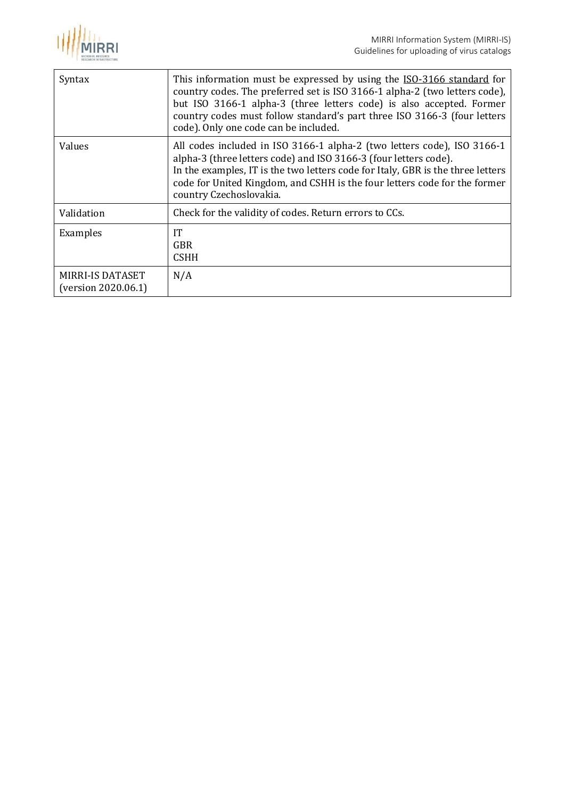

| Syntax                                         | This information must be expressed by using the ISO-3166 standard for<br>country codes. The preferred set is ISO 3166-1 alpha-2 (two letters code),<br>but ISO 3166-1 alpha-3 (three letters code) is also accepted. Former<br>country codes must follow standard's part three ISO 3166-3 (four letters<br>code). Only one code can be included. |
|------------------------------------------------|--------------------------------------------------------------------------------------------------------------------------------------------------------------------------------------------------------------------------------------------------------------------------------------------------------------------------------------------------|
| Values                                         | All codes included in ISO 3166-1 alpha-2 (two letters code), ISO 3166-1<br>alpha-3 (three letters code) and ISO 3166-3 (four letters code).<br>In the examples, IT is the two letters code for Italy, GBR is the three letters<br>code for United Kingdom, and CSHH is the four letters code for the former<br>country Czechoslovakia.           |
| Validation                                     | Check for the validity of codes. Return errors to CCs.                                                                                                                                                                                                                                                                                           |
| Examples                                       | IT<br><b>GBR</b><br><b>CSHH</b>                                                                                                                                                                                                                                                                                                                  |
| <b>MIRRI-IS DATASET</b><br>(version 2020.06.1) | N/A                                                                                                                                                                                                                                                                                                                                              |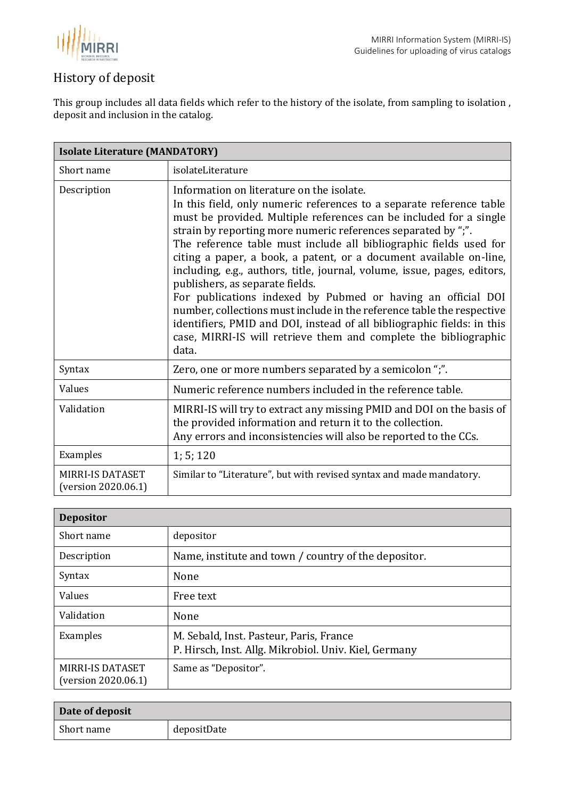

## <span id="page-17-0"></span>History of deposit

This group includes all data fields which refer to the history of the isolate, from sampling to isolation , deposit and inclusion in the catalog.

<span id="page-17-1"></span>

| <b>Isolate Literature (MANDATORY)</b>          |                                                                                                                                                                                                                                                                                                                                                                                                                                                                                                                                                                                                                                                                                                                                                                                                                       |  |
|------------------------------------------------|-----------------------------------------------------------------------------------------------------------------------------------------------------------------------------------------------------------------------------------------------------------------------------------------------------------------------------------------------------------------------------------------------------------------------------------------------------------------------------------------------------------------------------------------------------------------------------------------------------------------------------------------------------------------------------------------------------------------------------------------------------------------------------------------------------------------------|--|
| Short name                                     | isolateLiterature                                                                                                                                                                                                                                                                                                                                                                                                                                                                                                                                                                                                                                                                                                                                                                                                     |  |
| Description                                    | Information on literature on the isolate.<br>In this field, only numeric references to a separate reference table<br>must be provided. Multiple references can be included for a single<br>strain by reporting more numeric references separated by ";".<br>The reference table must include all bibliographic fields used for<br>citing a paper, a book, a patent, or a document available on-line,<br>including, e.g., authors, title, journal, volume, issue, pages, editors,<br>publishers, as separate fields.<br>For publications indexed by Pubmed or having an official DOI<br>number, collections must include in the reference table the respective<br>identifiers, PMID and DOI, instead of all bibliographic fields: in this<br>case, MIRRI-IS will retrieve them and complete the bibliographic<br>data. |  |
| Syntax                                         | Zero, one or more numbers separated by a semicolon ";".                                                                                                                                                                                                                                                                                                                                                                                                                                                                                                                                                                                                                                                                                                                                                               |  |
| Values                                         | Numeric reference numbers included in the reference table.                                                                                                                                                                                                                                                                                                                                                                                                                                                                                                                                                                                                                                                                                                                                                            |  |
| Validation                                     | MIRRI-IS will try to extract any missing PMID and DOI on the basis of<br>the provided information and return it to the collection.<br>Any errors and inconsistencies will also be reported to the CCs.                                                                                                                                                                                                                                                                                                                                                                                                                                                                                                                                                                                                                |  |
| Examples                                       | 1; 5; 120                                                                                                                                                                                                                                                                                                                                                                                                                                                                                                                                                                                                                                                                                                                                                                                                             |  |
| <b>MIRRI-IS DATASET</b><br>(version 2020.06.1) | Similar to "Literature", but with revised syntax and made mandatory.                                                                                                                                                                                                                                                                                                                                                                                                                                                                                                                                                                                                                                                                                                                                                  |  |

<span id="page-17-2"></span>

| <b>Depositor</b>                               |                                                                                                  |
|------------------------------------------------|--------------------------------------------------------------------------------------------------|
| Short name                                     | depositor                                                                                        |
| Description                                    | Name, institute and town / country of the depositor.                                             |
| Syntax                                         | None                                                                                             |
| Values                                         | Free text                                                                                        |
| Validation                                     | None                                                                                             |
| Examples                                       | M. Sebald, Inst. Pasteur, Paris, France<br>P. Hirsch, Inst. Allg. Mikrobiol. Univ. Kiel, Germany |
| <b>MIRRI-IS DATASET</b><br>(version 2020.06.1) | Same as "Depositor".                                                                             |

<span id="page-17-3"></span>

| Date of deposit |             |
|-----------------|-------------|
| Short name      | depositDate |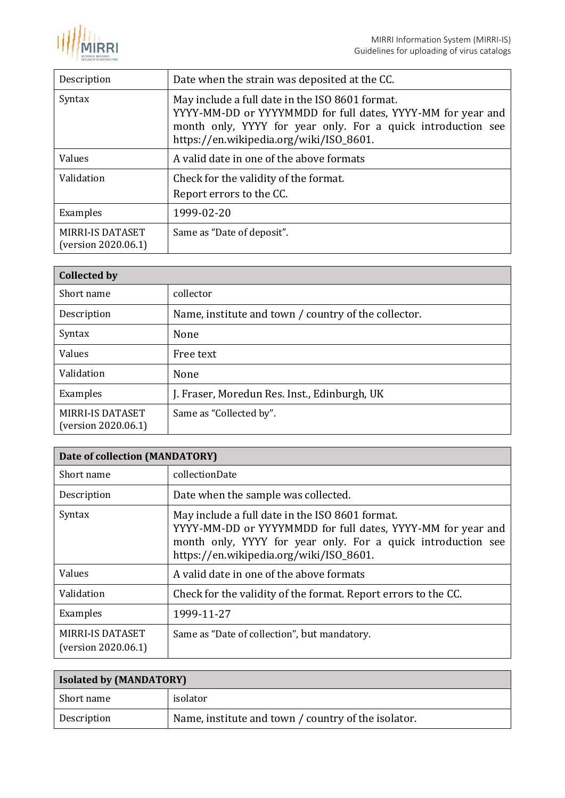

| Description                                    | Date when the strain was deposited at the CC.                                                                                                                                                                             |
|------------------------------------------------|---------------------------------------------------------------------------------------------------------------------------------------------------------------------------------------------------------------------------|
| Syntax                                         | May include a full date in the ISO 8601 format.<br>YYYY-MM-DD or YYYYMMDD for full dates, YYYY-MM for year and<br>month only, YYYY for year only. For a quick introduction see<br>https://en.wikipedia.org/wiki/ISO_8601. |
| Values                                         | A valid date in one of the above formats                                                                                                                                                                                  |
| Validation                                     | Check for the validity of the format.<br>Report errors to the CC.                                                                                                                                                         |
| Examples                                       | 1999-02-20                                                                                                                                                                                                                |
| <b>MIRRI-IS DATASET</b><br>(version 2020.06.1) | Same as "Date of deposit".                                                                                                                                                                                                |

<span id="page-18-0"></span>

| <b>Collected by</b>                            |                                                      |
|------------------------------------------------|------------------------------------------------------|
| Short name                                     | collector                                            |
| Description                                    | Name, institute and town / country of the collector. |
| Syntax                                         | None                                                 |
| Values                                         | Free text                                            |
| Validation                                     | None                                                 |
| Examples                                       | J. Fraser, Moredun Res. Inst., Edinburgh, UK         |
| <b>MIRRI-IS DATASET</b><br>(version 2020.06.1) | Same as "Collected by".                              |

<span id="page-18-1"></span>

| Date of collection (MANDATORY)                 |                                                                                                                                                                                                                           |
|------------------------------------------------|---------------------------------------------------------------------------------------------------------------------------------------------------------------------------------------------------------------------------|
| Short name                                     | collectionDate                                                                                                                                                                                                            |
| Description                                    | Date when the sample was collected.                                                                                                                                                                                       |
| Syntax                                         | May include a full date in the ISO 8601 format.<br>YYYY-MM-DD or YYYYMMDD for full dates, YYYY-MM for year and<br>month only, YYYY for year only. For a quick introduction see<br>https://en.wikipedia.org/wiki/ISO_8601. |
| Values                                         | A valid date in one of the above formats                                                                                                                                                                                  |
| Validation                                     | Check for the validity of the format. Report errors to the CC.                                                                                                                                                            |
| Examples                                       | 1999-11-27                                                                                                                                                                                                                |
| <b>MIRRI-IS DATASET</b><br>(version 2020.06.1) | Same as "Date of collection", but mandatory.                                                                                                                                                                              |

<span id="page-18-2"></span>

| <b>Isolated by (MANDATORY)</b> |                                                     |
|--------------------------------|-----------------------------------------------------|
| Short name                     | isolator                                            |
| Description                    | Name, institute and town / country of the isolator. |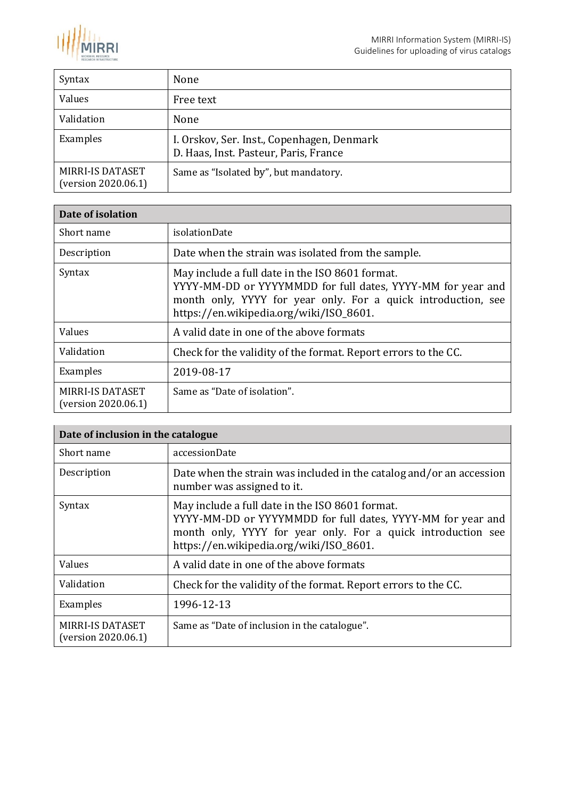

| Syntax                                         | None                                                                                |
|------------------------------------------------|-------------------------------------------------------------------------------------|
| Values                                         | Free text                                                                           |
| Validation                                     | None                                                                                |
| Examples                                       | I. Orskov, Ser. Inst., Copenhagen, Denmark<br>D. Haas, Inst. Pasteur, Paris, France |
| <b>MIRRI-IS DATASET</b><br>(version 2020.06.1) | Same as "Isolated by", but mandatory.                                               |

<span id="page-19-0"></span>

| Date of isolation                              |                                                                                                                                                                                                                            |
|------------------------------------------------|----------------------------------------------------------------------------------------------------------------------------------------------------------------------------------------------------------------------------|
| Short name                                     | isolationDate                                                                                                                                                                                                              |
| Description                                    | Date when the strain was isolated from the sample.                                                                                                                                                                         |
| Syntax                                         | May include a full date in the ISO 8601 format.<br>YYYY-MM-DD or YYYYMMDD for full dates, YYYY-MM for year and<br>month only, YYYY for year only. For a quick introduction, see<br>https://en.wikipedia.org/wiki/ISO_8601. |
| Values                                         | A valid date in one of the above formats                                                                                                                                                                                   |
| Validation                                     | Check for the validity of the format. Report errors to the CC.                                                                                                                                                             |
| Examples                                       | 2019-08-17                                                                                                                                                                                                                 |
| <b>MIRRI-IS DATASET</b><br>(version 2020.06.1) | Same as "Date of isolation".                                                                                                                                                                                               |

<span id="page-19-1"></span>

| Date of inclusion in the catalogue             |                                                                                                                                                                                                                           |
|------------------------------------------------|---------------------------------------------------------------------------------------------------------------------------------------------------------------------------------------------------------------------------|
| Short name                                     | accessionDate                                                                                                                                                                                                             |
| Description                                    | Date when the strain was included in the catalog and/or an accession<br>number was assigned to it.                                                                                                                        |
| Syntax                                         | May include a full date in the ISO 8601 format.<br>YYYY-MM-DD or YYYYMMDD for full dates, YYYY-MM for year and<br>month only, YYYY for year only. For a quick introduction see<br>https://en.wikipedia.org/wiki/ISO_8601. |
| Values                                         | A valid date in one of the above formats                                                                                                                                                                                  |
| Validation                                     | Check for the validity of the format. Report errors to the CC.                                                                                                                                                            |
| Examples                                       | 1996-12-13                                                                                                                                                                                                                |
| <b>MIRRI-IS DATASET</b><br>(version 2020.06.1) | Same as "Date of inclusion in the catalogue".                                                                                                                                                                             |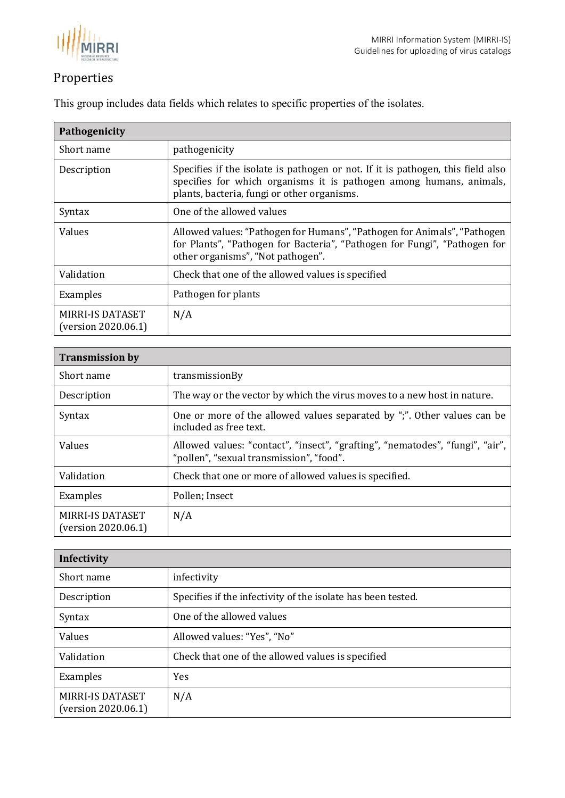

# <span id="page-20-0"></span>Properties

<span id="page-20-1"></span>

| Pathogenicity                                  |                                                                                                                                                                                                       |
|------------------------------------------------|-------------------------------------------------------------------------------------------------------------------------------------------------------------------------------------------------------|
| Short name                                     | pathogenicity                                                                                                                                                                                         |
| Description                                    | Specifies if the isolate is pathogen or not. If it is pathogen, this field also<br>specifies for which organisms it is pathogen among humans, animals,<br>plants, bacteria, fungi or other organisms. |
| Syntax                                         | One of the allowed values                                                                                                                                                                             |
| Values                                         | Allowed values: "Pathogen for Humans", "Pathogen for Animals", "Pathogen<br>for Plants", "Pathogen for Bacteria", "Pathogen for Fungi", "Pathogen for<br>other organisms", "Not pathogen".            |
| Validation                                     | Check that one of the allowed values is specified                                                                                                                                                     |
| Examples                                       | Pathogen for plants                                                                                                                                                                                   |
| <b>MIRRI-IS DATASET</b><br>(version 2020.06.1) | N/A                                                                                                                                                                                                   |

This group includes data fields which relates to specific properties of the isolates.

<span id="page-20-2"></span>

| <b>Transmission by</b>                         |                                                                                                                           |
|------------------------------------------------|---------------------------------------------------------------------------------------------------------------------------|
| Short name                                     | transmissionBy                                                                                                            |
| Description                                    | The way or the vector by which the virus moves to a new host in nature.                                                   |
| Syntax                                         | One or more of the allowed values separated by ";". Other values can be<br>included as free text.                         |
| Values                                         | Allowed values: "contact", "insect", "grafting", "nematodes", "fungi", "air",<br>"pollen", "sexual transmission", "food". |
| Validation                                     | Check that one or more of allowed values is specified.                                                                    |
| Examples                                       | Pollen; Insect                                                                                                            |
| <b>MIRRI-IS DATASET</b><br>(version 2020.06.1) | N/A                                                                                                                       |

<span id="page-20-3"></span>

| Infectivity                                    |                                                              |
|------------------------------------------------|--------------------------------------------------------------|
| Short name                                     | infectivity                                                  |
| Description                                    | Specifies if the infectivity of the isolate has been tested. |
| Syntax                                         | One of the allowed values                                    |
| Values                                         | Allowed values: "Yes", "No"                                  |
| Validation                                     | Check that one of the allowed values is specified            |
| Examples                                       | <b>Yes</b>                                                   |
| <b>MIRRI-IS DATASET</b><br>(version 2020.06.1) | N/A                                                          |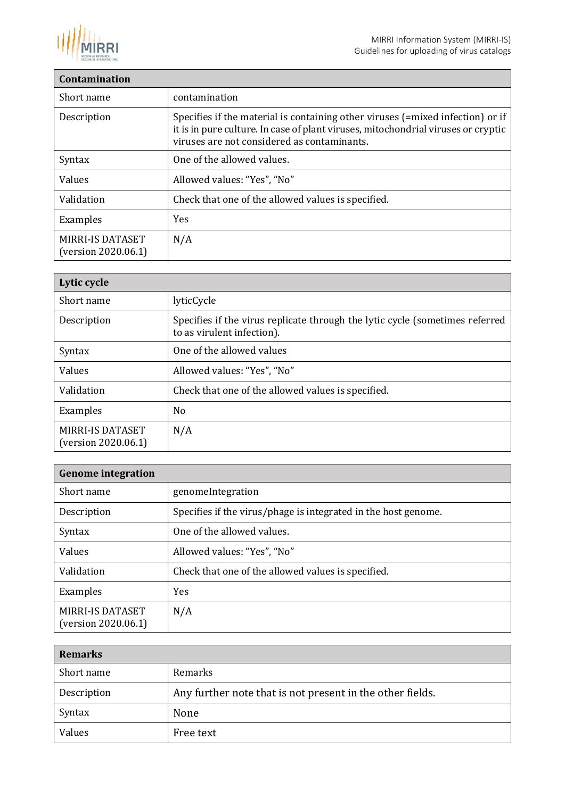

### <span id="page-21-0"></span>**Contamination** Short name contamination Description Specifies if the material is containing other viruses (=mixed infection) or if it is in pure culture. In case of plant viruses, mitochondrial viruses or cryptic viruses are not considered as contaminants. Syntax | One of the allowed values. Values Allowed values: "Yes", "No" Validation **Check that one of the allowed values is specified.** Examples | Yes MIRRI-IS DATASET (version 2020.06.1) N/A

<span id="page-21-1"></span>

| Lytic cycle                                    |                                                                                                            |
|------------------------------------------------|------------------------------------------------------------------------------------------------------------|
| Short name                                     | lyticCycle                                                                                                 |
| Description                                    | Specifies if the virus replicate through the lytic cycle (sometimes referred<br>to as virulent infection). |
| Syntax                                         | One of the allowed values                                                                                  |
| Values                                         | Allowed values: "Yes", "No"                                                                                |
| Validation                                     | Check that one of the allowed values is specified.                                                         |
| Examples                                       | No                                                                                                         |
| <b>MIRRI-IS DATASET</b><br>(version 2020.06.1) | N/A                                                                                                        |

<span id="page-21-2"></span>

| <b>Genome integration</b>                      |                                                                |
|------------------------------------------------|----------------------------------------------------------------|
| Short name                                     | genomeIntegration                                              |
| Description                                    | Specifies if the virus/phage is integrated in the host genome. |
| Syntax                                         | One of the allowed values.                                     |
| Values                                         | Allowed values: "Yes", "No"                                    |
| Validation                                     | Check that one of the allowed values is specified.             |
| Examples                                       | <b>Yes</b>                                                     |
| <b>MIRRI-IS DATASET</b><br>(version 2020.06.1) | N/A                                                            |

<span id="page-21-3"></span>

| <b>Remarks</b> |                                                           |
|----------------|-----------------------------------------------------------|
| Short name     | Remarks                                                   |
| Description    | Any further note that is not present in the other fields. |
| Syntax         | None                                                      |
| Values         | Free text                                                 |